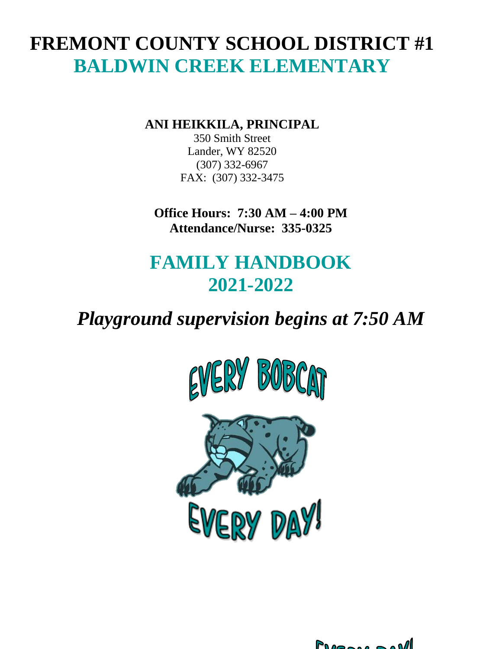# **FREMONT COUNTY SCHOOL DISTRICT #1 BALDWIN CREEK ELEMENTARY**

**ANI HEIKKILA, PRINCIPAL**

350 Smith Street Lander, WY 82520 (307) 332-6967 FAX: (307) 332-3475

**Office Hours: 7:30 AM – 4:00 PM Attendance/Nurse: 335-0325**

# **FAMILY HANDBOOK 2021-2022**

# *Playground supervision begins at 7:50 AM*





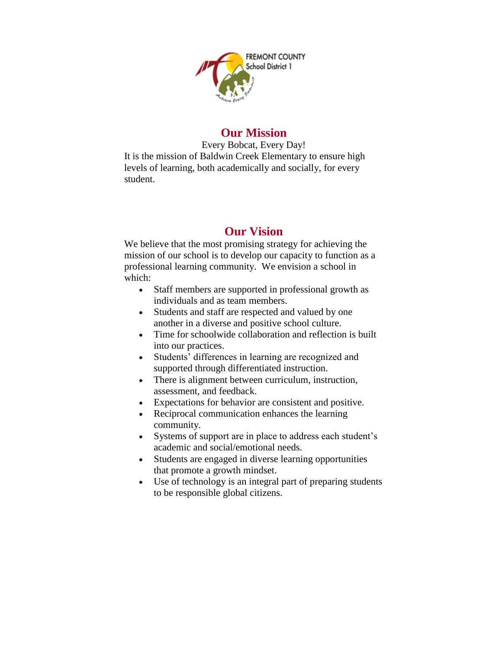

# **Our Mission**

Every Bobcat, Every Day! It is the mission of Baldwin Creek Elementary to ensure high levels of learning, both academically and socially, for every student.

# **Our Vision**

We believe that the most promising strategy for achieving the mission of our school is to develop our capacity to function as a professional learning community. We envision a school in which:

- Staff members are supported in professional growth as individuals and as team members.
- Students and staff are respected and valued by one another in a diverse and positive school culture.
- Time for schoolwide collaboration and reflection is built into our practices.
- Students' differences in learning are recognized and supported through differentiated instruction.
- There is alignment between curriculum, instruction, assessment, and feedback.
- Expectations for behavior are consistent and positive.
- Reciprocal communication enhances the learning community.
- Systems of support are in place to address each student's academic and social/emotional needs.
- Students are engaged in diverse learning opportunities that promote a growth mindset.
- Use of technology is an integral part of preparing students to be responsible global citizens.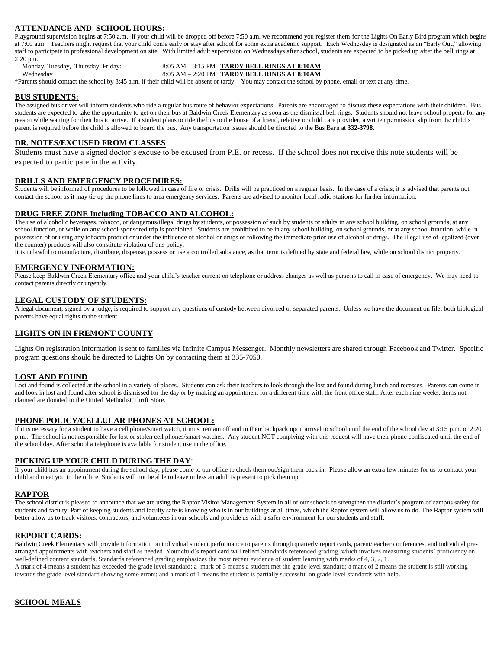## **ATTENDANCE AND SCHOOL HOURS:**

Playground supervision begins at 7:50 a.m. If your child will be dropped off before 7:50 a.m. we recommend you register them for the Lights On Early Bird program which begins at 7:00 a.m. Teachers might request that your child come early or stay after school for some extra academic support. Each Wednesday is designated as an "Early Out," allowing staff to participate in professional development on site. With limited adult supervision on Wednesdays after school, students are expected to be picked up after the bell rings at 2:20 pm.

Wednesday 8:05 AM – 2:20 PM **TARDY BELL RINGS AT 8:10AM**

## Monday, Tuesday, Thursday, Friday: 8:05 AM – 3:15 PM **TARDY BELL RINGS AT 8:10AM**

\*Parents should contact the school by 8:45 a.m. if their child will be absent or tardy. You may contact the school by phone, email or text at any time.

## **BUS STUDENTS:**

The assigned bus driver will inform students who ride a regular bus route of behavior expectations. Parents are encouraged to discuss these expectations with their children. Bus students are expected to take the opportunity to get on their bus at Baldwin Creek Elementary as soon as the dismissal bell rings. Students should not leave school property for any reason while waiting for their bus to arrive. If a student plans to ride the bus to the house of a friend, relative or child care provider, a written permission slip from the child's parent is required before the child is allowed to board the bus. Any transportation issues should be directed to the Bus Barn at **332-3798.**

## **DR. NOTES/EXCUSED FROM CLASSES**

Students must have a signed doctor's excuse to be excused from P.E. or recess. If the school does not receive this note students will be expected to participate in the activity.

## **DRILLS AND EMERGENCY PROCEDURES:**

Students will be informed of procedures to be followed in case of fire or crisis. Drills will be practiced on a regular basis. In the case of a crisis, it is advised that parents not contact the school as it may tie up the phone lines to area emergency services. Parents are advised to monitor local radio stations for further information.

## **DRUG FREE ZONE Including TOBACCO AND ALCOHOL:**

The use of alcoholic beverages, tobacco, or dangerous/illegal drugs by students, or possession of such by students or adults in any school building, on school grounds, at any school function, or while on any school-sponsored trip is prohibited. Students are prohibited to be in any school building, on school grounds, or at any school function, while in possession of or using any tobacco product or under the influence of alcohol or drugs or following the immediate prior use of alcohol or drugs. The illegal use of legalized (over the counter) products will also constitute violation of this policy.

It is unlawful to manufacture, distribute, dispense, possess or use a controlled substance, as that term is defined by state and federal law, while on school district property.

## **EMERGENCY INFORMATION:**

Please keep Baldwin Creek Elementary office and your child's teacher current on telephone or address changes as well as persons to call in case of emergency. We may need to contact parents directly or urgently.

## **LEGAL CUSTODY OF STUDENTS:**

A legal document, signed by a judge, is required to support any questions of custody between divorced or separated parents. Unless we have the document on file, both biological parents have equal rights to the student.

## **LIGHTS ON IN FREMONT COUNTY**

Lights On registration information is sent to families via Infinite Campus Messenger. Monthly newsletters are shared through Facebook and Twitter. Specific program questions should be directed to Lights On by contacting them at 335-7050.

## **LOST AND FOUND**

Lost and found is collected at the school in a variety of places. Students can ask their teachers to look through the lost and found during lunch and recesses. Parents can come in and look in lost and found after school is dismissed for the day or by making an appointment for a different time with the front office staff. After each nine weeks, items not claimed are donated to the United Methodist Thrift Store.

## **PHONE POLICY/CELLULAR PHONES AT SCHOOL:**

If it is necessary for a student to have a cell phone/smart watch, it must remain off and in their backpack upon arrival to school until the end of the school day at 3:15 p.m. or 2:20 p.m.. The school is not responsible for lost or stolen cell phones/smart watches. Any student NOT complying with this request will have their phone confiscated until the end of the school day. After school a telephone is available for student use in the office.

## **PICKING UP YOUR CHILD DURING THE DAY**:

If your child has an appointment during the school day, please come to our office to check them out/sign them back in. Please allow an extra few minutes for us to contact your child and meet you in the office. Students will not be able to leave unless an adult is present to pick them up.

## **RAPTOR**

The school district is pleased to announce that we are using the Raptor Visitor Management System in all of our schools to strengthen the district's program of campus safety for students and faculty. Part of keeping students and faculty safe is knowing who is in our buildings at all times, which the Raptor system will allow us to do. The Raptor system will better allow us to track visitors, contractors, and volunteers in our schools and provide us with a safer environment for our students and staff.

## **REPORT CARDS:**

Baldwin Creek Elementary will provide information on individual student performance to parents through quarterly report cards, parent/teacher conferences, and individual prearranged appointments with teachers and staff as needed. Your child's report card will reflect Standards referenced grading, which involves measuring students' proficiency on well-defined content standards. Standards referenced grading emphasizes the most recent evidence of student learning with marks of 4, 3, 2, 1. A mark of 4 means a student has exceeded the grade level standard; a mark of 3 means a student met the grade level standard; a mark of 2 means the student is still working

towards the grade level standard showing some errors; and a mark of 1 means the student is partially successful on grade level standards with help.

## **SCHOOL MEALS**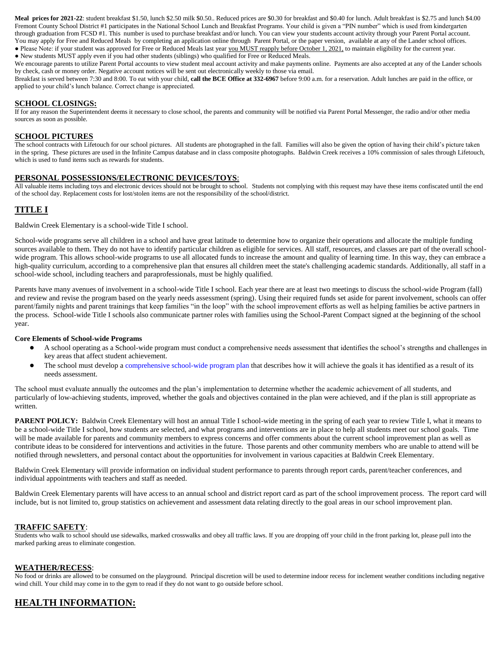Meal prices for 2021-22: student breakfast \$1.50, lunch \$2.50 milk \$0.50.. Reduced prices are \$0.30 for breakfast and \$0.40 for lunch. Adult breakfast is \$2.75 and lunch \$4.00 Fremont County School District #1 participates in the National School Lunch and Breakfast Programs. Your child is given a "PIN number" which is used from kindergarten through graduation from FCSD #1. This number is used to purchase breakfast and/or lunch. You can view your students account activity through your Parent Portal account. You may apply for Free and Reduced Meals by completing an application online through Parent Portal, or the paper version, available at any of the Lander school offices. • Please Note: if your student was approved for Free or Reduced Meals last year you MUST reapply before October 1, 2021, to maintain eligibility for the current year.

● New students MUST apply even if you had other students (siblings) who qualified for Free or Reduced Meals.

We encourage parents to utilize Parent Portal accounts to view student meal account activity and make payments online. Payments are also accepted at any of the Lander schools by check, cash or money order. Negative account notices will be sent out electronically weekly to those via email.

Breakfast is served between 7:30 and 8:00. To eat with your child, **call the BCE Office at 332-6967** before 9:00 a.m. for a reservation. Adult lunches are paid in the office, or applied to your child's lunch balance. Correct change is appreciated.

## **SCHOOL CLOSINGS:**

If for any reason the Superintendent deems it necessary to close school, the parents and community will be notified via Parent Portal Messenger, the radio and/or other media sources as soon as possible.

## **SCHOOL PICTURES**

The school contracts with Lifetouch for our school pictures. All students are photographed in the fall. Families will also be given the option of having their child's picture taken in the spring. These pictures are used in the Infinite Campus database and in class composite photographs. Baldwin Creek receives a 10% commission of sales through Lifetouch, which is used to fund items such as rewards for students.

## **PERSONAL POSSESSIONS/ELECTRONIC DEVICES/TOYS**:

All valuable items including toys and electronic devices should not be brought to school. Students not complying with this request may have these items confiscated until the end of the school day. Replacement costs for lost/stolen items are not the responsibility of the school/district.

## **TITLE I**

Baldwin Creek Elementary is a school-wide Title I school.

School-wide programs serve all children in a school and have great latitude to determine how to organize their operations and allocate the multiple funding sources available to them. They do not have to identify particular children as eligible for services. All staff, resources, and classes are part of the overall schoolwide program. This allows school-wide programs to use all allocated funds to increase the amount and quality of learning time. In this way, they can embrace a high-quality curriculum, according to a comprehensive plan that ensures all children meet the state's challenging academic standards. Additionally, all staff in a school-wide school, including teachers and paraprofessionals, must be highly qualified.

Parents have many avenues of involvement in a school-wide Title I school. Each year there are at least two meetings to discuss the school-wide Program (fall) and review and revise the program based on the yearly needs assessment (spring). Using their required funds set aside for parent involvement, schools can offer parent/family nights and parent trainings that keep families "in the loop" with the school improvement efforts as well as helping families be active partners in the process. School-wide Title I schools also communicate partner roles with families using the School-Parent Compact signed at the beginning of the school year.

## **Core Elements of School-wide Programs**

- A school operating as a School-wide program must conduct a comprehensive needs assessment that identifies the school's strengths and challenges in key areas that affect student achievement.
- The school must develop [a comprehensive school-wide program plan](http://dpi.wi.gov/titleone/doc/swp_plan_handout.doc) that describes how it will achieve the goals it has identified as a result of its needs assessment.

The school must evaluate annually the outcomes and the plan's implementation to determine whether the academic achievement of all students, and particularly of low-achieving students, improved, whether the goals and objectives contained in the plan were achieved, and if the plan is still appropriate as written.

PARENT POLICY: Baldwin Creek Elementary will host an annual Title I school-wide meeting in the spring of each year to review Title I, what it means to be a school-wide Title I school, how students are selected, and what programs and interventions are in place to help all students meet our school goals. Time will be made available for parents and community members to express concerns and offer comments about the current school improvement plan as well as contribute ideas to be considered for interventions and activities in the future. Those parents and other community members who are unable to attend will be notified through newsletters, and personal contact about the opportunities for involvement in various capacities at Baldwin Creek Elementary.

Baldwin Creek Elementary will provide information on individual student performance to parents through report cards, parent/teacher conferences, and individual appointments with teachers and staff as needed.

Baldwin Creek Elementary parents will have access to an annual school and district report card as part of the school improvement process. The report card will include, but is not limited to, group statistics on achievement and assessment data relating directly to the goal areas in our school improvement plan.

## **TRAFFIC SAFETY**:

Students who walk to school should use sidewalks, marked crosswalks and obey all traffic laws. If you are dropping off your child in the front parking lot, please pull into the marked parking areas to eliminate congestion.

## **WEATHER/RECESS**:

No food or drinks are allowed to be consumed on the playground. Principal discretion will be used to determine indoor recess for inclement weather conditions including negative wind chill. Your child may come in to the gym to read if they do not want to go outside before school.

## **HEALTH INFORMATION:**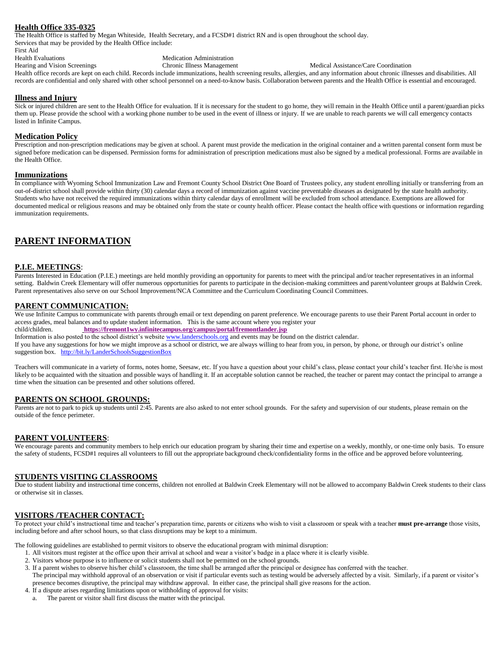## **Health Office 335-0325**

The Health Office is staffed by Megan Whiteside, Health Secretary, and a FCSD#1 district RN and is open throughout the school day. Services that may be provided by the Health Office include: First Aid

Health Evaluations<br>
Hearing and Vision Screenings<br>
Chronic Illness Management

Medical Assistance/Care Coordination

Health office records are kept on each child. Records include immunizations, health screening results, allergies, and any information about chronic illnesses and disabilities. All records are confidential and only shared with other school personnel on a need-to-know basis. Collaboration between parents and the Health Office is essential and encouraged.

## **Illness and Injury**

Sick or injured children are sent to the Health Office for evaluation. If it is necessary for the student to go home, they will remain in the Health Office until a parent/guardian picks them up. Please provide the school with a working phone number to be used in the event of illness or injury. If we are unable to reach parents we will call emergency contacts listed in Infinite Campus.

## **Medication Policy**

Prescription and non-prescription medications may be given at school. A parent must provide the medication in the original container and a written parental consent form must be signed before medication can be dispensed. Permission forms for administration of prescription medications must also be signed by a medical professional. Forms are available in the Health Office.

## **Immunizations**

In compliance with Wyoming School Immunization Law and Fremont County School District One Board of Trustees policy, any student enrolling initially or transferring from an out-of-district school shall provide within thirty (30) calendar days a record of immunization against vaccine preventable diseases as designated by the state health authority. Students who have not received the required immunizations within thirty calendar days of enrollment will be excluded from school attendance. Exemptions are allowed for documented medical or religious reasons and may be obtained only from the state or county health officer. Please contact the health office with questions or information regarding immunization requirements.

## **PARENT INFORMATION**

## **P.I.E. MEETINGS**:

Parents Interested in Education (P.I.E.) meetings are held monthly providing an opportunity for parents to meet with the principal and/or teacher representatives in an informal setting. Baldwin Creek Elementary will offer numerous opportunities for parents to participate in the decision-making committees and parent/volunteer groups at Baldwin Creek. Parent representatives also serve on our School Improvement/NCA Committee and the Curriculum Coordinating Council Committees.

## **PARENT COMMUNICATION:**

We use Infinite Campus to communicate with parents through email or text depending on parent preference. We encourage parents to use their Parent Portal account in order to access grades, meal balances and to update student information. This is the same account where you register your

child/children. **<https://fremont1wy.infinitecampus.org/campus/portal/fremontlander.jsp>**

Information is also posted to the school district's websit[e www.landerschools.org](http://www.landerschools.org/) and events may be found on the district calendar.

If you have any suggestions for how we might improve as a school or district, we are always willing to hear from you, in person, by phone, or through our district's online suggestion box. <http://bit.ly/LanderSchoolsSuggestionBox>

Teachers will communicate in a variety of forms, notes home, Seesaw, etc. If you have a question about your child's class, please contact your child's teacher first. He/she is most likely to be acquainted with the situation and possible ways of handling it. If an acceptable solution cannot be reached, the teacher or parent may contact the principal to arrange a time when the situation can be presented and other solutions offered.

## **PARENTS ON SCHOOL GROUNDS:**

Parents are not to park to pick up students until 2:45. Parents are also asked to not enter school grounds. For the safety and supervision of our students, please remain on the outside of the fence perimeter.

## **PARENT VOLUNTEERS**:

We encourage parents and community members to help enrich our education program by sharing their time and expertise on a weekly, monthly, or one-time only basis. To ensure the safety of students, FCSD#1 requires all volunteers to fill out the appropriate background check/confidentiality forms in the office and be approved before volunteering.

## **STUDENTS VISITING CLASSROOMS**

Due to student liability and instructional time concerns, children not enrolled at Baldwin Creek Elementary will not be allowed to accompany Baldwin Creek students to their class or otherwise sit in classes.

## **VISITORS /TEACHER CONTACT:**

To protect your child's instructional time and teacher's preparation time, parents or citizens who wish to visit a classroom or speak with a teacher **must pre-arrange** those visits, including before and after school hours, so that class disruptions may be kept to a minimum.

The following guidelines are established to permit visitors to observe the educational program with minimal disruption:

- 1. All visitors must register at the office upon their arrival at school and wear a visitor's badge in a place where it is clearly visible.
- 2. Visitors whose purpose is to influence or solicit students shall not be permitted on the school grounds.
- 3. If a parent wishes to observe his/her child's classroom, the time shall be arranged after the principal or designee has conferred with the teacher. The principal may withhold approval of an observation or visit if particular events such as testing would be adversely affected by a visit. Similarly, if a parent or visitor's presence becomes disruptive, the principal may withdraw approval. In either case, the principal shall give reasons for the action.
- 4. If a dispute arises regarding limitations upon or withholding of approval for visits:
- a. The parent or visitor shall first discuss the matter with the principal.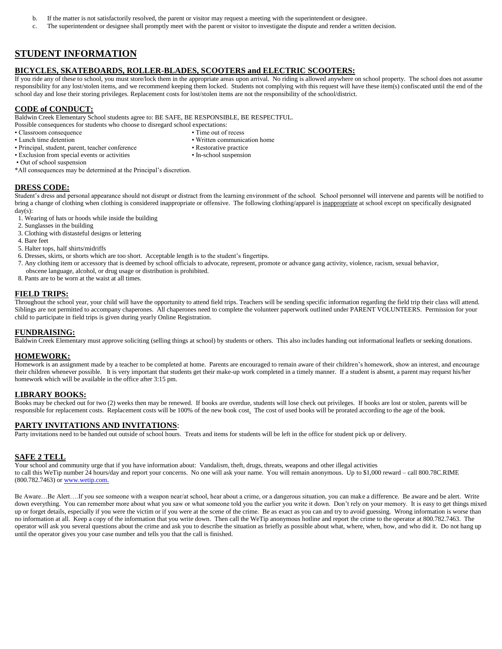- b. If the matter is not satisfactorily resolved, the parent or visitor may request a meeting with the superintendent or designee.
- c. The superintendent or designee shall promptly meet with the parent or visitor to investigate the dispute and render a written decision.

## **STUDENT INFORMATION**

## **BICYCLES, SKATEBOARDS, ROLLER-BLADES, SCOOTERS and ELECTRIC SCOOTERS:**

If you ride any of these to school, you must store/lock them in the appropriate areas upon arrival. No riding is allowed anywhere on school property. The school does not assume responsibility for any lost/stolen items, and we recommend keeping them locked.Students not complying with this request will have these item(s) confiscated until the end of the school day and lose their storing privileges. Replacement costs for lost/stolen items are not the responsibility of the school/district.

## **CODE of CONDUCT:**

Baldwin Creek Elementary School students agree to: BE SAFE, BE RESPONSIBLE, BE RESPECTFUL.

Possible consequences for students who choose to disregard school expectations: • Classroom consequence • Time out of recess

- 
- Lunch time detention Written communication home
- Principal, student, parent, teacher conference Restorative practice
	-
- Exclusion from special events or activities In-school suspension
- Out of school suspension

\*All consequences may be determined at the Principal's discretion.

#### **DRESS CODE:**

Student's dress and personal appearance should not disrupt or distract from the learning environment of the school. School personnel will intervene and parents will be notified to bring a change of clothing when clothing is considered inappropriate or offensive. The following clothing/apparel is inappropriate at school except on specifically designated day(s):

- 1. Wearing of hats or hoods while inside the building
- 2. Sunglasses in the building
- 3. Clothing with distasteful designs or lettering
- 4. Bare feet
- 5. Halter tops, half shirts/midriffs
- 6. Dresses, skirts, or shorts which are too short. Acceptable length is to the student's fingertips.
- 7. Any clothing item or accessory that is deemed by school officials to advocate, represent, promote or advance gang activity, violence, racism, sexual behavior,
- obscene language, alcohol, or drug usage or distribution is prohibited.
- 8. Pants are to be worn at the waist at all times.

#### **FIELD TRIPS:**

Throughout the school year, your child will have the opportunity to attend field trips. Teachers will be sending specific information regarding the field trip their class will attend. Siblings are not permitted to accompany chaperones. All chaperones need to complete the volunteer paperwork outlined under PARENT VOLUNTEERS. Permission for your child to participate in field trips is given during yearly Online Registration.

## **FUNDRAISING:**

Baldwin Creek Elementary must approve soliciting (selling things at school) by students or others. This also includes handing out informational leaflets or seeking donations.

## **HOMEWORK:**

Homework is an assignment made by a teacher to be completed at home. Parents are encouraged to remain aware of their children's homework, show an interest, and encourage their children whenever possible. It is very important that students get their make-up work completed in a timely manner. If a student is absent, a parent may request his/her homework which will be available in the office after 3:15 pm.

## **LIBRARY BOOKS:**

Books may be checked out for two (2) weeks then may be renewed. If books are overdue, students will lose check out privileges. If books are lost or stolen, parents will be responsible for replacement costs. Replacement costs will be 100% of the new book cost. The cost of used books will be prorated according to the age of the book.

## **PARTY INVITATIONS AND INVITATIONS**:

Party invitations need to be handed out outside of school hours. Treats and items for students will be left in the office for student pick up or delivery.

## **SAFE 2 TELL**

Your school and community urge that if you have information about: Vandalism, theft, drugs, threats, weapons and other illegal activities to call this WeTip number 24 hours/day and report your concerns. No one will ask your name. You will remain anonymous. Up to \$1,000 reward – call 800.78C.RIME (800.782.7463) o[r www.wetip.com.](http://www.wetip.com/)

Be Aware…Be Alert….If you see someone with a weapon near/at school, hear about a crime, or a dangerous situation, you can make a difference. Be aware and be alert. Write down everything. You can remember more about what you saw or what someone told you the earlier you write it down. Don't rely on your memory. It is easy to get things mixed up or forget details, especially if you were the victim or if you were at the scene of the crime. Be as exact as you can and try to avoid guessing. Wrong information is worse than no information at all. Keep a copy of the information that you write down. Then call the WeTip anonymous hotline and report the crime to the operator at 800.782.7463. The operator will ask you several questions about the crime and ask you to describe the situation as briefly as possible about what, where, when, how, and who did it. Do not hang up until the operator gives you your case number and tells you that the call is finished.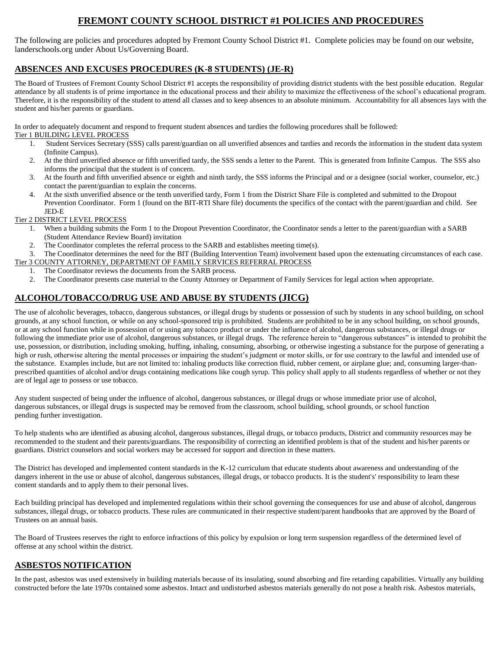## **FREMONT COUNTY SCHOOL DISTRICT #1 POLICIES AND PROCEDURES**

The following are policies and procedures adopted by Fremont County School District #1. Complete policies may be found on our website, landerschools.org under About Us/Governing Board.

## **ABSENCES AND EXCUSES PROCEDURES (K-8 STUDENTS) (JE-R)**

The Board of Trustees of Fremont County School District #1 accepts the responsibility of providing district students with the best possible education. Regular attendance by all students is of prime importance in the educational process and their ability to maximize the effectiveness of the school's educational program. Therefore, it is the responsibility of the student to attend all classes and to keep absences to an absolute minimum. Accountability for all absences lays with the student and his/her parents or guardians.

In order to adequately document and respond to frequent student absences and tardies the following procedures shall be followed: Tier 1 BUILDING LEVEL PROCESS

- 1. Student Services Secretary (SSS) calls parent/guardian on all unverified absences and tardies and records the information in the student data system (Infinite Campus).
- 2. At the third unverified absence or fifth unverified tardy, the SSS sends a letter to the Parent. This is generated from Infinite Campus. The SSS also informs the principal that the student is of concern.
- 3. At the fourth and fifth unverified absence or eighth and ninth tardy, the SSS informs the Principal and or a designee (social worker, counselor, etc.) contact the parent/guardian to explain the concerns.
- 4. At the sixth unverified absence or the tenth unverified tardy, Form 1 from the District Share File is completed and submitted to the Dropout Prevention Coordinator. Form 1 (found on the BIT-RTI Share file) documents the specifics of the contact with the parent/guardian and child. See JED-E

## Tier 2 DISTRICT LEVEL PROCESS

- 1. When a building submits the Form 1 to the Dropout Prevention Coordinator, the Coordinator sends a letter to the parent/guardian with a SARB (Student Attendance Review Board) invitation
- 2. The Coordinator completes the referral process to the SARB and establishes meeting time(s).

3. The Coordinator determines the need for the BIT (Building Intervention Team) involvement based upon the extenuating circumstances of each case. Tier 3 COUNTY ATTORNEY, DEPARTMENT OF FAMILY SERVICES REFERRAL PROCESS

- 1. The Coordinator reviews the documents from the SARB process.
- 2. The Coordinator presents case material to the County Attorney or Department of Family Services for legal action when appropriate.

## **ALCOHOL/TOBACCO/DRUG USE AND ABUSE BY STUDENTS (JICG)**

The use of alcoholic beverages, tobacco, dangerous substances, or illegal drugs by students or possession of such by students in any school building, on school grounds, at any school function, or while on any school-sponsored trip is prohibited. Students are prohibited to be in any school building, on school grounds, or at any school function while in possession of or using any tobacco product or under the influence of alcohol, dangerous substances, or illegal drugs or following the immediate prior use of alcohol, dangerous substances, or illegal drugs. The reference herein to "dangerous substances" is intended to prohibit the use, possession, or distribution, including smoking, huffing, inhaling, consuming, absorbing, or otherwise ingesting a substance for the purpose of generating a high or rush, otherwise altering the mental processes or impairing the student's judgment or motor skills, or for use contrary to the lawful and intended use of the substance. Examples include, but are not limited to: inhaling products like correction fluid, rubber cement, or airplane glue; and, consuming larger-thanprescribed quantities of alcohol and/or drugs containing medications like cough syrup. This policy shall apply to all students regardless of whether or not they are of legal age to possess or use tobacco.

Any student suspected of being under the influence of alcohol, dangerous substances, or illegal drugs or whose immediate prior use of alcohol, dangerous substances, or illegal drugs is suspected may be removed from the classroom, school building, school grounds, or school function pending further investigation.

To help students who are identified as abusing alcohol, dangerous substances, illegal drugs, or tobacco products, District and community resources may be recommended to the student and their parents/guardians. The responsibility of correcting an identified problem is that of the student and his/her parents or guardians. District counselors and social workers may be accessed for support and direction in these matters.

The District has developed and implemented content standards in the K-12 curriculum that educate students about awareness and understanding of the dangers inherent in the use or abuse of alcohol, dangerous substances, illegal drugs, or tobacco products. It is the student's' responsibility to learn these content standards and to apply them to their personal lives.

Each building principal has developed and implemented regulations within their school governing the consequences for use and abuse of alcohol, dangerous substances, illegal drugs, or tobacco products. These rules are communicated in their respective student/parent handbooks that are approved by the Board of Trustees on an annual basis.

The Board of Trustees reserves the right to enforce infractions of this policy by expulsion or long term suspension regardless of the determined level of offense at any school within the district.

## **ASBESTOS NOTIFICATION**

In the past, asbestos was used extensively in building materials because of its insulating, sound absorbing and fire retarding capabilities. Virtually any building constructed before the late 1970s contained some asbestos. Intact and undisturbed asbestos materials generally do not pose a health risk. Asbestos materials,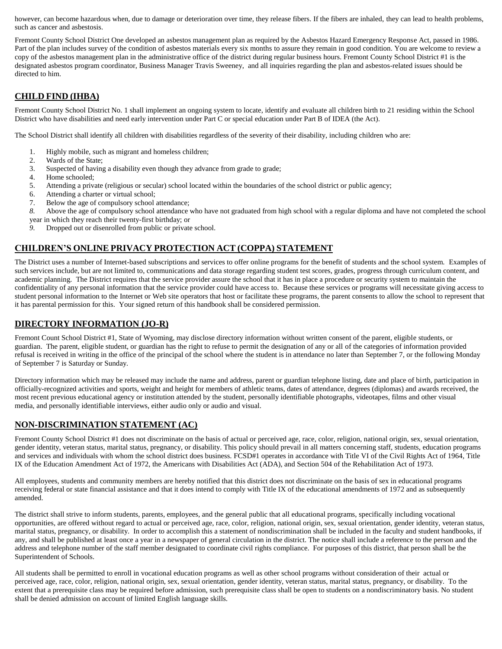however, can become hazardous when, due to damage or deterioration over time, they release fibers. If the fibers are inhaled, they can lead to health problems, such as cancer and asbestosis.

Fremont County School District One developed an asbestos management plan as required by the Asbestos Hazard Emergency Response Act, passed in 1986. Part of the plan includes survey of the condition of asbestos materials every six months to assure they remain in good condition. You are welcome to review a copy of the asbestos management plan in the administrative office of the district during regular business hours. Fremont County School District #1 is the designated asbestos program coordinator, Business Manager Travis Sweeney, and all inquiries regarding the plan and asbestos-related issues should be directed to him.

## **CHILD FIND (IHBA)**

Fremont County School District No. 1 shall implement an ongoing system to locate, identify and evaluate all children birth to 21 residing within the School District who have disabilities and need early intervention under Part C or special education under Part B of IDEA (the Act).

The School District shall identify all children with disabilities regardless of the severity of their disability, including children who are:

- 1. Highly mobile, such as migrant and homeless children;
- 2. Wards of the State;
- 3. Suspected of having a disability even though they advance from grade to grade;
- 4. Home schooled;
- 5. Attending a private (religious or secular) school located within the boundaries of the school district or public agency;
- 6. Attending a charter or virtual school;
- 7. Below the age of compulsory school attendance;
- *8.* Above the age of compulsory school attendance who have not graduated from high school with a regular diploma and have not completed the school year in which they reach their twenty-first birthday; or
- *9.* Dropped out or disenrolled from public or private school.

## **CHILDREN'S ONLINE PRIVACY PROTECTION ACT (COPPA) STATEMENT**

The District uses a number of Internet-based subscriptions and services to offer online programs for the benefit of students and the school system. Examples of such services include, but are not limited to, communications and data storage regarding student test scores, grades, progress through curriculum content, and academic planning. The District requires that the service provider assure the school that it has in place a procedure or security system to maintain the confidentiality of any personal information that the service provider could have access to. Because these services or programs will necessitate giving access to student personal information to the Internet or Web site operators that host or facilitate these programs, the parent consents to allow the school to represent that it has parental permission for this. Your signed return of this handbook shall be considered permission.

## **DIRECTORY INFORMATION (JO-R)**

Fremont Count School District #1, State of Wyoming, may disclose directory information without written consent of the parent, eligible students, or guardian. The parent, eligible student, or guardian has the right to refuse to permit the designation of any or all of the categories of information provided refusal is received in writing in the office of the principal of the school where the student is in attendance no later than September 7, or the following Monday of September 7 is Saturday or Sunday.

Directory information which may be released may include the name and address, parent or guardian telephone listing, date and place of birth, participation in officially-recognized activities and sports, weight and height for members of athletic teams, dates of attendance, degrees (diplomas) and awards received, the most recent previous educational agency or institution attended by the student, personally identifiable photographs, videotapes, films and other visual media, and personally identifiable interviews, either audio only or audio and visual.

## **NON-DISCRIMINATION STATEMENT (AC)**

Fremont County School District #1 does not discriminate on the basis of actual or perceived age, race, color, religion, national origin, sex, sexual orientation, gender identity, veteran status, marital status, pregnancy, or disability. This policy should prevail in all matters concerning staff, students, education programs and services and individuals with whom the school district does business. FCSD#1 operates in accordance with Title VI of the Civil Rights Act of 1964, Title IX of the Education Amendment Act of 1972, the Americans with Disabilities Act (ADA), and Section 504 of the Rehabilitation Act of 1973.

All employees, students and community members are hereby notified that this district does not discriminate on the basis of sex in educational programs receiving federal or state financial assistance and that it does intend to comply with Title IX of the educational amendments of 1972 and as subsequently amended.

The district shall strive to inform students, parents, employees, and the general public that all educational programs, specifically including vocational opportunities, are offered without regard to actual or perceived age, race, color, religion, national origin, sex, sexual orientation, gender identity, veteran status, marital status, pregnancy, or disability. In order to accomplish this a statement of nondiscrimination shall be included in the faculty and student handbooks, if any, and shall be published at least once a year in a newspaper of general circulation in the district. The notice shall include a reference to the person and the address and telephone number of the staff member designated to coordinate civil rights compliance. For purposes of this district, that person shall be the Superintendent of Schools.

All students shall be permitted to enroll in vocational education programs as well as other school programs without consideration of their actual or perceived age, race, color, religion, national origin, sex, sexual orientation, gender identity, veteran status, marital status, pregnancy, or disability. To the extent that a prerequisite class may be required before admission, such prerequisite class shall be open to students on a nondiscriminatory basis. No student shall be denied admission on account of limited English language skills.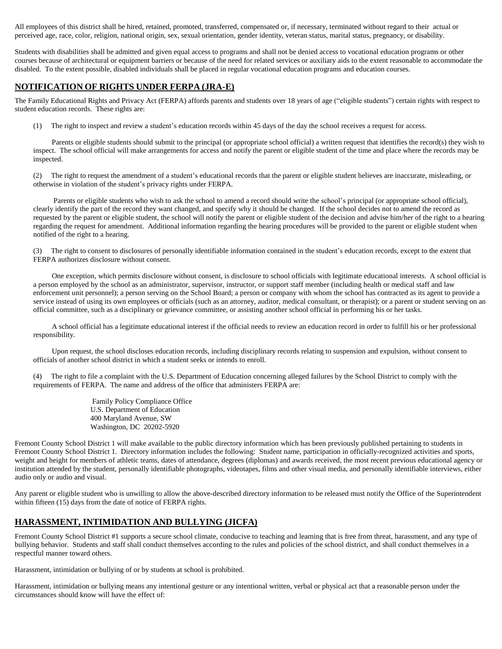All employees of this district shall be hired, retained, promoted, transferred, compensated or, if necessary, terminated without regard to their actual or perceived age, race, color, religion, national origin, sex, sexual orientation, gender identity, veteran status, marital status, pregnancy, or disability.

Students with disabilities shall be admitted and given equal access to programs and shall not be denied access to vocational education programs or other courses because of architectural or equipment barriers or because of the need for related services or auxiliary aids to the extent reasonable to accommodate the disabled. To the extent possible, disabled individuals shall be placed in regular vocational education programs and education courses.

## **NOTIFICATION OF RIGHTS UNDER FERPA (JRA-E)**

The Family Educational Rights and Privacy Act (FERPA) affords parents and students over 18 years of age ("eligible students") certain rights with respect to student education records. These rights are:

(1) The right to inspect and review a student's education records within 45 days of the day the school receives a request for access.

Parents or eligible students should submit to the principal (or appropriate school official) a written request that identifies the record(s) they wish to inspect. The school official will make arrangements for access and notify the parent or eligible student of the time and place where the records may be inspected.

(2) The right to request the amendment of a student's educational records that the parent or eligible student believes are inaccurate, misleading, or otherwise in violation of the student's privacy rights under FERPA.

Parents or eligible students who wish to ask the school to amend a record should write the school's principal (or appropriate school official), clearly identify the part of the record they want changed, and specify why it should be changed. If the school decides not to amend the record as requested by the parent or eligible student, the school will notify the parent or eligible student of the decision and advise him/her of the right to a hearing regarding the request for amendment. Additional information regarding the hearing procedures will be provided to the parent or eligible student when notified of the right to a hearing.

(3) The right to consent to disclosures of personally identifiable information contained in the student's education records, except to the extent that FERPA authorizes disclosure without consent.

One exception, which permits disclosure without consent, is disclosure to school officials with legitimate educational interests. A school official is a person employed by the school as an administrator, supervisor, instructor, or support staff member (including health or medical staff and law enforcement unit personnel); a person serving on the School Board; a person or company with whom the school has contracted as its agent to provide a service instead of using its own employees or officials (such as an attorney, auditor, medical consultant, or therapist); or a parent or student serving on an official committee, such as a disciplinary or grievance committee, or assisting another school official in performing his or her tasks.

A school official has a legitimate educational interest if the official needs to review an education record in order to fulfill his or her professional responsibility.

Upon request, the school discloses education records, including disciplinary records relating to suspension and expulsion, without consent to officials of another school district in which a student seeks or intends to enroll.

(4) The right to file a complaint with the U.S. Department of Education concerning alleged failures by the School District to comply with the requirements of FERPA. The name and address of the office that administers FERPA are:

> Family Policy Compliance Office U.S. Department of Education 400 Maryland Avenue, SW Washington, DC 20202-5920

Fremont County School District 1 will make available to the public directory information which has been previously published pertaining to students in Fremont County School District 1. Directory information includes the following: Student name, participation in officially-recognized activities and sports, weight and height for members of athletic teams, dates of attendance, degrees (diplomas) and awards received, the most recent previous educational agency or institution attended by the student, personally identifiable photographs, videotapes, films and other visual media, and personally identifiable interviews, either audio only or audio and visual.

Any parent or eligible student who is unwilling to allow the above-described directory information to be released must notify the Office of the Superintendent within fifteen (15) days from the date of notice of FERPA rights.

## **HARASSMENT, INTIMIDATION AND BULLYING (JICFA)**

Fremont County School District #1 supports a secure school climate, conducive to teaching and learning that is free from threat, harassment, and any type of bullying behavior. Students and staff shall conduct themselves according to the rules and policies of the school district, and shall conduct themselves in a respectful manner toward others.

Harassment, intimidation or bullying of or by students at school is prohibited.

Harassment, intimidation or bullying means any intentional gesture or any intentional written, verbal or physical act that a reasonable person under the circumstances should know will have the effect of: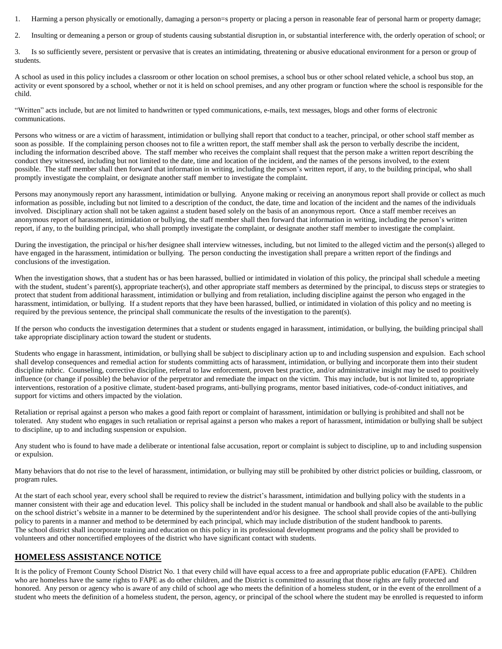- 1. Harming a person physically or emotionally, damaging a person=s property or placing a person in reasonable fear of personal harm or property damage;
- 2. Insulting or demeaning a person or group of students causing substantial disruption in, or substantial interference with, the orderly operation of school; or

3. Is so sufficiently severe, persistent or pervasive that is creates an intimidating, threatening or abusive educational environment for a person or group of students.

A school as used in this policy includes a classroom or other location on school premises, a school bus or other school related vehicle, a school bus stop, an activity or event sponsored by a school, whether or not it is held on school premises, and any other program or function where the school is responsible for the child.

"Written" acts include, but are not limited to handwritten or typed communications, e-mails, text messages, blogs and other forms of electronic communications.

Persons who witness or are a victim of harassment, intimidation or bullying shall report that conduct to a teacher, principal, or other school staff member as soon as possible. If the complaining person chooses not to file a written report, the staff member shall ask the person to verbally describe the incident, including the information described above. The staff member who receives the complaint shall request that the person make a written report describing the conduct they witnessed, including but not limited to the date, time and location of the incident, and the names of the persons involved, to the extent possible. The staff member shall then forward that information in writing, including the person's written report, if any, to the building principal, who shall promptly investigate the complaint, or designate another staff member to investigate the complaint.

Persons may anonymously report any harassment, intimidation or bullying. Anyone making or receiving an anonymous report shall provide or collect as much information as possible, including but not limited to a description of the conduct, the date, time and location of the incident and the names of the individuals involved. Disciplinary action shall not be taken against a student based solely on the basis of an anonymous report. Once a staff member receives an anonymous report of harassment, intimidation or bullying, the staff member shall then forward that information in writing, including the person's written report, if any, to the building principal, who shall promptly investigate the complaint, or designate another staff member to investigate the complaint.

During the investigation, the principal or his/her designee shall interview witnesses, including, but not limited to the alleged victim and the person(s) alleged to have engaged in the harassment, intimidation or bullying. The person conducting the investigation shall prepare a written report of the findings and conclusions of the investigation.

When the investigation shows, that a student has or has been harassed, bullied or intimidated in violation of this policy, the principal shall schedule a meeting with the student, student's parent(s), appropriate teacher(s), and other appropriate staff members as determined by the principal, to discuss steps or strategies to protect that student from additional harassment, intimidation or bullying and from retaliation, including discipline against the person who engaged in the harassment, intimidation, or bullying. If a student reports that they have been harassed, bullied, or intimidated in violation of this policy and no meeting is required by the previous sentence, the principal shall communicate the results of the investigation to the parent(s).

If the person who conducts the investigation determines that a student or students engaged in harassment, intimidation, or bullying, the building principal shall take appropriate disciplinary action toward the student or students.

Students who engage in harassment, intimidation, or bullying shall be subject to disciplinary action up to and including suspension and expulsion. Each school shall develop consequences and remedial action for students committing acts of harassment, intimidation, or bullying and incorporate them into their student discipline rubric. Counseling, corrective discipline, referral to law enforcement, proven best practice, and/or administrative insight may be used to positively influence (or change if possible) the behavior of the perpetrator and remediate the impact on the victim. This may include, but is not limited to, appropriate interventions, restoration of a positive climate, student-based programs, anti-bullying programs, mentor based initiatives, code-of-conduct initiatives, and support for victims and others impacted by the violation.

Retaliation or reprisal against a person who makes a good faith report or complaint of harassment, intimidation or bullying is prohibited and shall not be tolerated. Any student who engages in such retaliation or reprisal against a person who makes a report of harassment, intimidation or bullying shall be subject to discipline, up to and including suspension or expulsion.

Any student who is found to have made a deliberate or intentional false accusation, report or complaint is subject to discipline, up to and including suspension or expulsion.

Many behaviors that do not rise to the level of harassment, intimidation, or bullying may still be prohibited by other district policies or building, classroom, or program rules.

At the start of each school year, every school shall be required to review the district's harassment, intimidation and bullying policy with the students in a manner consistent with their age and education level. This policy shall be included in the student manual or handbook and shall also be available to the public on the school district's website in a manner to be determined by the superintendent and/or his designee. The school shall provide copies of the anti-bullying policy to parents in a manner and method to be determined by each principal, which may include distribution of the student handbook to parents. The school district shall incorporate training and education on this policy in its professional development programs and the policy shall be provided to volunteers and other noncertified employees of the district who have significant contact with students.

## **HOMELESS ASSISTANCE NOTICE**

It is the policy of Fremont County School District No. 1 that every child will have equal access to a free and appropriate public education (FAPE). Children who are homeless have the same rights to FAPE as do other children, and the District is committed to assuring that those rights are fully protected and honored. Any person or agency who is aware of any child of school age who meets the definition of a homeless student, or in the event of the enrollment of a student who meets the definition of a homeless student, the person, agency, or principal of the school where the student may be enrolled is requested to inform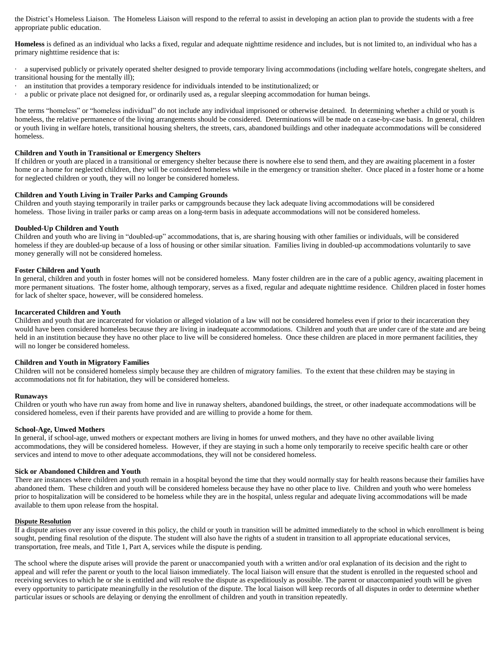the District's Homeless Liaison. The Homeless Liaison will respond to the referral to assist in developing an action plan to provide the students with a free appropriate public education.

**Homeless** is defined as an individual who lacks a fixed, regular and adequate nighttime residence and includes, but is not limited to, an individual who has a primary nighttime residence that is:

a supervised publicly or privately operated shelter designed to provide temporary living accommodations (including welfare hotels, congregate shelters, and transitional housing for the mentally ill);

- an institution that provides a temporary residence for individuals intended to be institutionalized; or
- a public or private place not designed for, or ordinarily used as, a regular sleeping accommodation for human beings.

The terms "homeless" or "homeless individual" do not include any individual imprisoned or otherwise detained. In determining whether a child or youth is homeless, the relative permanence of the living arrangements should be considered. Determinations will be made on a case-by-case basis. In general, children or youth living in welfare hotels, transitional housing shelters, the streets, cars, abandoned buildings and other inadequate accommodations will be considered homeless.

#### **Children and Youth in Transitional or Emergency Shelters**

If children or youth are placed in a transitional or emergency shelter because there is nowhere else to send them, and they are awaiting placement in a foster home or a home for neglected children, they will be considered homeless while in the emergency or transition shelter. Once placed in a foster home or a home for neglected children or youth, they will no longer be considered homeless.

## **Children and Youth Living in Trailer Parks and Camping Grounds**

Children and youth staying temporarily in trailer parks or campgrounds because they lack adequate living accommodations will be considered homeless. Those living in trailer parks or camp areas on a long-term basis in adequate accommodations will not be considered homeless.

#### **Doubled-Up Children and Youth**

Children and youth who are living in "doubled-up" accommodations, that is, are sharing housing with other families or individuals, will be considered homeless if they are doubled-up because of a loss of housing or other similar situation. Families living in doubled-up accommodations voluntarily to save money generally will not be considered homeless.

### **Foster Children and Youth**

In general, children and youth in foster homes will not be considered homeless. Many foster children are in the care of a public agency, awaiting placement in more permanent situations. The foster home, although temporary, serves as a fixed, regular and adequate nighttime residence. Children placed in foster homes for lack of shelter space, however, will be considered homeless.

#### **Incarcerated Children and Youth**

Children and youth that are incarcerated for violation or alleged violation of a law will not be considered homeless even if prior to their incarceration they would have been considered homeless because they are living in inadequate accommodations. Children and youth that are under care of the state and are being held in an institution because they have no other place to live will be considered homeless. Once these children are placed in more permanent facilities, they will no longer be considered homeless.

## **Children and Youth in Migratory Families**

Children will not be considered homeless simply because they are children of migratory families. To the extent that these children may be staying in accommodations not fit for habitation, they will be considered homeless.

#### **Runaways**

Children or youth who have run away from home and live in runaway shelters, abandoned buildings, the street, or other inadequate accommodations will be considered homeless, even if their parents have provided and are willing to provide a home for them.

#### **School-Age, Unwed Mothers**

In general, if school-age, unwed mothers or expectant mothers are living in homes for unwed mothers, and they have no other available living accommodations, they will be considered homeless. However, if they are staying in such a home only temporarily to receive specific health care or other services and intend to move to other adequate accommodations, they will not be considered homeless.

#### **Sick or Abandoned Children and Youth**

There are instances where children and youth remain in a hospital beyond the time that they would normally stay for health reasons because their families have abandoned them. These children and youth will be considered homeless because they have no other place to live. Children and youth who were homeless prior to hospitalization will be considered to be homeless while they are in the hospital, unless regular and adequate living accommodations will be made available to them upon release from the hospital.

## **Dispute Resolution**

If a dispute arises over any issue covered in this policy, the child or youth in transition will be admitted immediately to the school in which enrollment is being sought, pending final resolution of the dispute. The student will also have the rights of a student in transition to all appropriate educational services, transportation, free meals, and Title 1, Part A, services while the dispute is pending.

The school where the dispute arises will provide the parent or unaccompanied youth with a written and/or oral explanation of its decision and the right to appeal and will refer the parent or youth to the local liaison immediately. The local liaison will ensure that the student is enrolled in the requested school and receiving services to which he or she is entitled and will resolve the dispute as expeditiously as possible. The parent or unaccompanied youth will be given every opportunity to participate meaningfully in the resolution of the dispute. The local liaison will keep records of all disputes in order to determine whether particular issues or schools are delaying or denying the enrollment of children and youth in transition repeatedly.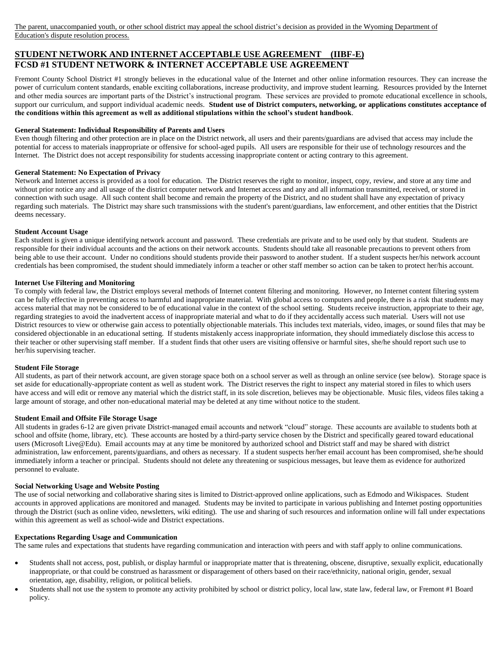## **STUDENT NETWORK AND INTERNET ACCEPTABLE USE AGREEMENT (IIBF-E) FCSD #1 STUDENT NETWORK & INTERNET ACCEPTABLE USE AGREEMENT**

Fremont County School District #1 strongly believes in the educational value of the Internet and other online information resources. They can increase the power of curriculum content standards, enable exciting collaborations, increase productivity, and improve student learning. Resources provided by the Internet and other media sources are important parts of the District's instructional program. These services are provided to promote educational excellence in schools, support our curriculum, and support individual academic needs. Student use of District computers, networking, or applications constitutes acceptance of **the conditions within this agreement as well as additional stipulations within the school's student handbook**.

## **General Statement: Individual Responsibility of Parents and Users**

Even though filtering and other protection are in place on the District network, all users and their parents/guardians are advised that access may include the potential for access to materials inappropriate or offensive for school-aged pupils. All users are responsible for their use of technology resources and the Internet. The District does not accept responsibility for students accessing inappropriate content or acting contrary to this agreement.

## **General Statement: No Expectation of Privacy**

Network and Internet access is provided as a tool for education. The District reserves the right to monitor, inspect, copy, review, and store at any time and without prior notice any and all usage of the district computer network and Internet access and any and all information transmitted, received, or stored in connection with such usage. All such content shall become and remain the property of the District, and no student shall have any expectation of privacy regarding such materials. The District may share such transmissions with the student's parent/guardians, law enforcement, and other entities that the District deems necessary.

## **Student Account Usage**

Each student is given a unique identifying network account and password. These credentials are private and to be used only by that student. Students are responsible for their individual accounts and the actions on their network accounts. Students should take all reasonable precautions to prevent others from being able to use their account. Under no conditions should students provide their password to another student. If a student suspects her/his network account credentials has been compromised, the student should immediately inform a teacher or other staff member so action can be taken to protect her/his account.

## **Internet Use Filtering and Monitoring**

To comply with federal law, the District employs several methods of Internet content filtering and monitoring. However, no Internet content filtering system can be fully effective in preventing access to harmful and inappropriate material. With global access to computers and people, there is a risk that students may access material that may not be considered to be of educational value in the context of the school setting. Students receive instruction, appropriate to their age, regarding strategies to avoid the inadvertent access of inappropriate material and what to do if they accidentally access such material. Users will not use District resources to view or otherwise gain access to potentially objectionable materials. This includes text materials, video, images, or sound files that may be considered objectionable in an educational setting. If students mistakenly access inappropriate information, they should immediately disclose this access to their teacher or other supervising staff member. If a student finds that other users are visiting offensive or harmful sites, she/he should report such use to her/his supervising teacher.

## **Student File Storage**

All students, as part of their network account, are given storage space both on a school server as well as through an online service (see below). Storage space is set aside for educationally-appropriate content as well as student work. The District reserves the right to inspect any material stored in files to which users have access and will edit or remove any material which the district staff, in its sole discretion, believes may be objectionable. Music files, videos files taking a large amount of storage, and other non-educational material may be deleted at any time without notice to the student.

## **Student Email and Offsite File Storage Usage**

All students in grades 6-12 are given private District-managed email accounts and network "cloud" storage. These accounts are available to students both at school and offsite (home, library, etc). These accounts are hosted by a third-party service chosen by the District and specifically geared toward educational users (Microsoft Live@Edu). Email accounts may at any time be monitored by authorized school and District staff and may be shared with district administration, law enforcement, parents/guardians, and others as necessary. If a student suspects her/her email account has been compromised, she/he should immediately inform a teacher or principal. Students should not delete any threatening or suspicious messages, but leave them as evidence for authorized personnel to evaluate.

## **Social Networking Usage and Website Posting**

The use of social networking and collaborative sharing sites is limited to District-approved online applications, such as Edmodo and Wikispaces. Student accounts in approved applications are monitored and managed. Students may be invited to participate in various publishing and Internet posting opportunities through the District (such as online video, newsletters, wiki editing). The use and sharing of such resources and information online will fall under expectations within this agreement as well as school-wide and District expectations.

## **Expectations Regarding Usage and Communication**

The same rules and expectations that students have regarding communication and interaction with peers and with staff apply to online communications.

- Students shall not access, post, publish, or display harmful or inappropriate matter that is threatening, obscene, disruptive, sexually explicit, educationally inappropriate, or that could be construed as harassment or disparagement of others based on their race/ethnicity, national origin, gender, sexual orientation, age, disability, religion, or political beliefs.
- Students shall not use the system to promote any activity prohibited by school or district policy, local law, state law, federal law, or Fremont #1 Board policy.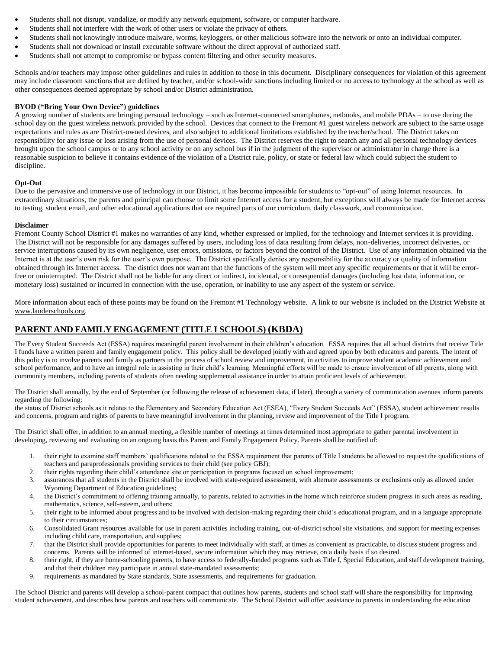- Students shall not disrupt, vandalize, or modify any network equipment, software, or computer hardware.
- Students shall not interfere with the work of other users or violate the privacy of others.
- Students shall not knowingly introduce malware, worms, keyloggers, or other malicious software into the network or onto an individual computer.
- Students shall not download or install executable software without the direct approval of authorized staff.
- Students shall not attempt to compromise or bypass content filtering and other security measures.

Schools and/or teachers may impose other guidelines and rules in addition to those in this document. Disciplinary consequences for violation of this agreement may include classroom sanctions that are defined by teacher, and/or school-wide sanctions including limited or no access to technology at the school as well as other consequences deemed appropriate by school and/or District administration.

## **BYOD ("Bring Your Own Device") guidelines**

A growing number of students are bringing personal technology – such as Internet-connected smartphones, netbooks, and mobile PDAs – to use during the school day on the guest wireless network provided by the school. Devices that connect to the Fremont #1 guest wireless network are subject to the same usage expectations and rules as are District-owned devices, and also subject to additional limitations established by the teacher/school. The District takes no responsibility for any issue or loss arising from the use of personal devices. The District reserves the right to search any and all personal technology devices brought upon the school campus or to any school activity or on any school bus if in the judgment of the supervisor or administrator in charge there is a reasonable suspicion to believe it contains evidence of the violation of a District rule, policy, or state or federal law which could subject the student to discipline.

## **Opt-Out**

Due to the pervasive and immersive use of technology in our District, it has become impossible for students to "opt-out" of using Internet resources. In extraordinary situations, the parents and principal can choose to limit some Internet access for a student, but exceptions will always be made for Internet access to testing, student email, and other educational applications that are required parts of our curriculum, daily classwork, and communication.

## **Disclaimer**

Fremont County School District #1 makes no warranties of any kind, whether expressed or implied, for the technology and Internet services it is providing. The District will not be responsible for any damages suffered by users, including loss of data resulting from delays, non-deliveries, incorrect deliveries, or service interruptions caused by its own negligence, user errors, omissions, or factors beyond the control of the District. Use of any information obtained via the Internet is at the user's own risk for the user's own purpose. The District specifically denies any responsibility for the accuracy or quality of information obtained through its Internet access. The district does not warrant that the functions of the system will meet any specific requirements or that it will be errorfree or uninterrupted. The District shall not be liable for any direct or indirect, incidental, or consequential damages (including lost data, information, or monetary loss) sustained or incurred in connection with the use, operation, or inability to use any aspect of the system or service.

More information about each of these points may be found on the Fremont #1 Technology website. A link to our website is included on the District Website at [www.landerschools.org.](http://www.landerschools.org/) 

## **PARENT AND FAMILY ENGAGEMENT (TITLE I SCHOOLS) (KBDA)**

The Every Student Succeeds Act (ESSA) requires meaningful parent involvement in their children's education. ESSA requires that all school districts that receive Title I funds have a written parent and family engagement policy. This policy shall be developed jointly with and agreed upon by both educators and parents. The intent of this policy is to involve parents and family as partners in the process of school review and improvement, in activities to improve student academic achievement and school performance, and to have an integral role in assisting in their child's learning. Meaningful efforts will be made to ensure involvement of all parents, along with community members, including parents of students often needing supplemental assistance in order to attain proficient levels of achievement.

The District shall annually, by the end of September (or following the release of achievement data, if later), through a variety of communication avenues inform parents regarding the following:

the status of District schools as it relates to the Elementary and Secondary Education Act (ESEA), "Every Student Succeeds Act" (ESSA), student achievement results and concerns, program and rights of parents to have meaningful involvement in the planning, review and improvement of the Title I program.

The District shall offer, in addition to an annual meeting, a flexible number of meetings at times determined most appropriate to gather parental involvement in developing, reviewing and evaluating on an ongoing basis this Parent and Family Engagement Policy. Parents shall be notified of:

- 1. their right to examine staff members' qualifications related to the ESSA requirement that parents of Title I students be allowed to request the qualifications of teachers and paraprofessionals providing services to their child (see policy GBJ);
- 2. their rights regarding their child's attendance site or participation in programs focused on school improvement;
- 3. assurances that all students in the District shall be involved with state-required assessment, with alternate assessments or exclusions only as allowed under Wyoming Department of Education guidelines;
- 4. the District's commitment to offering training annually, to parents, related to activities in the home which reinforce student progress in such areas as reading, mathematics, science, self-esteem, and others;
- 5. their right to be informed about progress and to be involved with decision-making regarding their child's educational program, and in a language appropriate to their circumstances;
- 6. Consolidated Grant resources available for use in parent activities including training, out-of-district school site visitations, and support for meeting expenses including child care, transportation, and supplies;
- 7. that the District shall provide opportunities for parents to meet individually with staff, at times as convenient as practicable, to discuss student progress and concerns. Parents will be informed of internet-based, secure information which they may retrieve, on a daily basis if so desired.
- 8. their right, if they are home-schooling parents, to have access to federally-funded programs such as Title I, Special Education, and staff development training, and that their children may participate in annual state-mandated assessments;
- 9. requirements as mandated by State standards, State assessments, and requirements for graduation.

The School District and parents will develop a school-parent compact that outlines how parents, students and school staff will share the responsibility for improving student achievement, and describes how parents and teachers will communicate. The School District will offer assistance to parents in understanding the education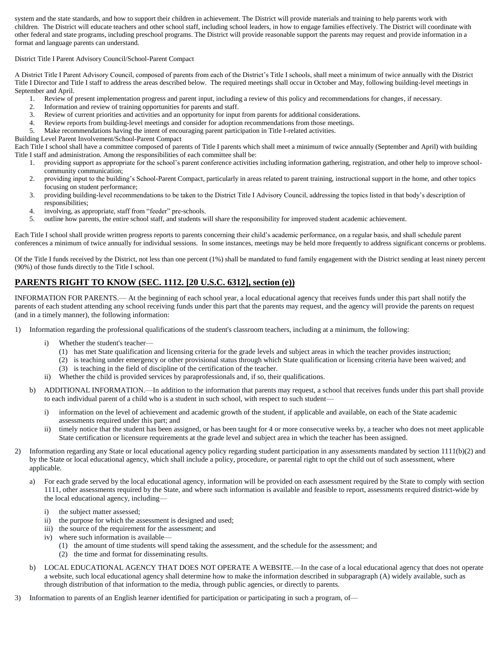system and the state standards, and how to support their children in achievement. The District will provide materials and training to help parents work with children. The District will educate teachers and other school staff, including school leaders, in how to engage families effectively. The District will coordinate with other federal and state programs, including preschool programs. The District will provide reasonable support the parents may request and provide information in a format and language parents can understand.

District Title I Parent Advisory Council/School-Parent Compact

A District Title I Parent Advisory Council, composed of parents from each of the District's Title I schools, shall meet a minimum of twice annually with the District Title I Director and Title I staff to address the areas described below. The required meetings shall occur in October and May, following building-level meetings in September and April.

- 1. Review of present implementation progress and parent input, including a review of this policy and recommendations for changes, if necessary.
- 2. Information and review of training opportunities for parents and staff.
- 3. Review of current priorities and activities and an opportunity for input from parents for additional considerations.
- 4. Review reports from building-level meetings and consider for adoption recommendations from those meetings.
- 5. Make recommendations having the intent of encouraging parent participation in Title I-related activities.

Building Level Parent Involvement/School-Parent Compact

Each Title I school shall have a committee composed of parents of Title I parents which shall meet a minimum of twice annually (September and April) with building Title I staff and administration. Among the responsibilities of each committee shall be:

- 1. providing support as appropriate for the school's parent conference activities including information gathering, registration, and other help to improve schoolcommunity communication;
- 2. providing input to the building's School-Parent Compact, particularly in areas related to parent training, instructional support in the home, and other topics focusing on student performance;
- 3. providing building-level recommendations to be taken to the District Title I Advisory Council, addressing the topics listed in that body's description of responsibilities;
- 4. involving, as appropriate, staff from "feeder" pre-schools.
- 5. outline how parents, the entire school staff, and students will share the responsibility for improved student academic achievement.

Each Title I school shall provide written progress reports to parents concerning their child's academic performance, on a regular basis, and shall schedule parent conferences a minimum of twice annually for individual sessions. In some instances, meetings may be held more frequently to address significant concerns or problems.

Of the Title I funds received by the District, not less than one percent (1%) shall be mandated to fund family engagement with the District sending at least ninety percent (90%) of those funds directly to the Title I school.

## **PARENTS RIGHT TO KNOW (SEC. 1112. [20 U.S.C. 6312], section (e))**

INFORMATION FOR PARENTS.— At the beginning of each school year, a local educational agency that receives funds under this part shall notify the parents of each student attending any school receiving funds under this part that the parents may request, and the agency will provide the parents on request (and in a timely manner), the following information:

- 1) Information regarding the professional qualifications of the student's classroom teachers, including at a minimum, the following:
	- i) Whether the student's teacher—
		- (1) has met State qualification and licensing criteria for the grade levels and subject areas in which the teacher provides instruction;
		- (2) is teaching under emergency or other provisional status through which State qualification or licensing criteria have been waived; and
		- (3) is teaching in the field of discipline of the certification of the teacher.
	- ii) Whether the child is provided services by paraprofessionals and, if so, their qualifications.
	- b) ADDITIONAL INFORMATION.—In addition to the information that parents may request, a school that receives funds under this part shall provide to each individual parent of a child who is a student in such school, with respect to such student
		- i) information on the level of achievement and academic growth of the student, if applicable and available, on each of the State academic assessments required under this part; and
		- ii) timely notice that the student has been assigned, or has been taught for 4 or more consecutive weeks by, a teacher who does not meet applicable State certification or licensure requirements at the grade level and subject area in which the teacher has been assigned.
- 2) Information regarding any State or local educational agency policy regarding student participation in any assessments mandated by section 1111(b)(2) and by the State or local educational agency, which shall include a policy, procedure, or parental right to opt the child out of such assessment, where applicable.
	- a) For each grade served by the local educational agency, information will be provided on each assessment required by the State to comply with section 1111, other assessments required by the State, and where such information is available and feasible to report, assessments required district-wide by the local educational agency, including
		- i) the subject matter assessed;
		- ii) the purpose for which the assessment is designed and used;
		- iii) the source of the requirement for the assessment; and
		- iv) where such information is available—
			- (1) the amount of time students will spend taking the assessment, and the schedule for the assessment; and
			- (2) the time and format for disseminating results.
	- b) LOCAL EDUCATIONAL AGENCY THAT DOES NOT OPERATE A WEBSITE.—In the case of a local educational agency that does not operate a website, such local educational agency shall determine how to make the information described in subparagraph (A) widely available, such as through distribution of that information to the media, through public agencies, or directly to parents.
- 3) Information to parents of an English learner identified for participation or participating in such a program, of—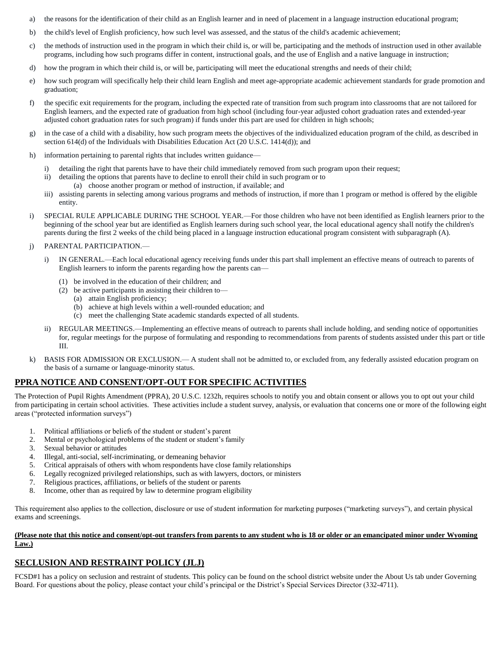- a) the reasons for the identification of their child as an English learner and in need of placement in a language instruction educational program;
- b) the child's level of English proficiency, how such level was assessed, and the status of the child's academic achievement;
- c) the methods of instruction used in the program in which their child is, or will be, participating and the methods of instruction used in other available programs, including how such programs differ in content, instructional goals, and the use of English and a native language in instruction;
- d) how the program in which their child is, or will be, participating will meet the educational strengths and needs of their child;
- e) how such program will specifically help their child learn English and meet age-appropriate academic achievement standards for grade promotion and graduation;
- f) the specific exit requirements for the program, including the expected rate of transition from such program into classrooms that are not tailored for English learners, and the expected rate of graduation from high school (including four-year adjusted cohort graduation rates and extended-year adjusted cohort graduation rates for such program) if funds under this part are used for children in high schools;
- g) in the case of a child with a disability, how such program meets the objectives of the individualized education program of the child, as described in section  $614(d)$  of the Individuals with Disabilities Education Act (20 U.S.C. 1414(d)); and
- h) information pertaining to parental rights that includes written guidance
	- i) detailing the right that parents have to have their child immediately removed from such program upon their request;
	- ii) detailing the options that parents have to decline to enroll their child in such program or to
		- (a) choose another program or method of instruction, if available; and
	- iii) assisting parents in selecting among various programs and methods of instruction, if more than 1 program or method is offered by the eligible entity.
- i) SPECIAL RULE APPLICABLE DURING THE SCHOOL YEAR.—For those children who have not been identified as English learners prior to the beginning of the school year but are identified as English learners during such school year, the local educational agency shall notify the children's parents during the first 2 weeks of the child being placed in a language instruction educational program consistent with subparagraph (A).

## j) PARENTAL PARTICIPATION.—

- i) IN GENERAL.—Each local educational agency receiving funds under this part shall implement an effective means of outreach to parents of English learners to inform the parents regarding how the parents can—
	- (1) be involved in the education of their children; and
	- (2) be active participants in assisting their children to—
		- (a) attain English proficiency;
		- (b) achieve at high levels within a well-rounded education; and
		- (c) meet the challenging State academic standards expected of all students.
- ii) REGULAR MEETINGS.—Implementing an effective means of outreach to parents shall include holding, and sending notice of opportunities for, regular meetings for the purpose of formulating and responding to recommendations from parents of students assisted under this part or title III.
- k) BASIS FOR ADMISSION OR EXCLUSION.— A student shall not be admitted to, or excluded from, any federally assisted education program on the basis of a surname or language-minority status.

## **PPRA NOTICE AND CONSENT/OPT-OUT FOR SPECIFIC ACTIVITIES**

The Protection of Pupil Rights Amendment (PPRA), 20 U.S.C. 1232h, requires schools to notify you and obtain consent or allows you to opt out your child from participating in certain school activities. These activities include a student survey, analysis, or evaluation that concerns one or more of the following eight areas ("protected information surveys")

- 1. Political affiliations or beliefs of the student or student's parent
- 2. Mental or psychological problems of the student or student's family
- 3. Sexual behavior or attitudes
- 4. Illegal, anti-social, self-incriminating, or demeaning behavior
- 5. Critical appraisals of others with whom respondents have close family relationships
- 6. Legally recognized privileged relationships, such as with lawyers, doctors, or ministers
- 7. Religious practices, affiliations, or beliefs of the student or parents
- 8. Income, other than as required by law to determine program eligibility

This requirement also applies to the collection, disclosure or use of student information for marketing purposes ("marketing surveys"), and certain physical exams and screenings.

## **(Please note that this notice and consent/opt-out transfers from parents to any student who is 18 or older or an emancipated minor under Wyoming Law.)**

## **SECLUSION AND RESTRAINT POLICY (JLJ)**

FCSD#1 has a policy on seclusion and restraint of students. This policy can be found on the school district website under the About Us tab under Governing Board. For questions about the policy, please contact your child's principal or the District's Special Services Director (332-4711).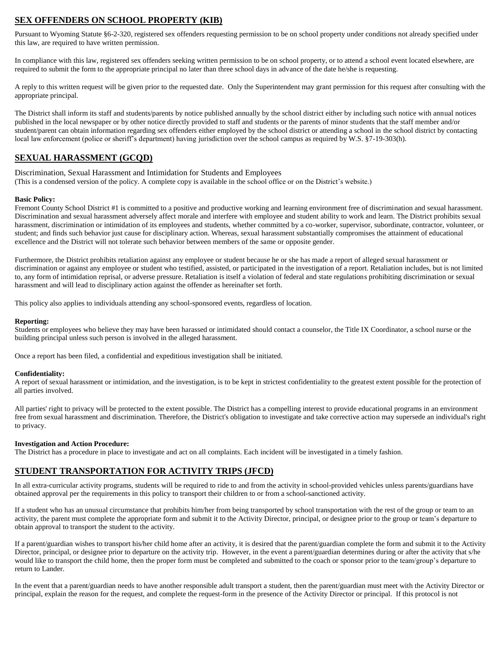## **SEX OFFENDERS ON SCHOOL PROPERTY (KIB)**

Pursuant to Wyoming Statute §6-2-320, registered sex offenders requesting permission to be on school property under conditions not already specified under this law, are required to have written permission.

In compliance with this law, registered sex offenders seeking written permission to be on school property, or to attend a school event located elsewhere, are required to submit the form to the appropriate principal no later than three school days in advance of the date he/she is requesting.

A reply to this written request will be given prior to the requested date. Only the Superintendent may grant permission for this request after consulting with the appropriate principal.

The District shall inform its staff and students/parents by notice published annually by the school district either by including such notice with annual notices published in the local newspaper or by other notice directly provided to staff and students or the parents of minor students that the staff member and/or student/parent can obtain information regarding sex offenders either employed by the school district or attending a school in the school district by contacting local law enforcement (police or sheriff's department) having jurisdiction over the school campus as required by W.S. §7-19-303(h).

## **SEXUAL HARASSMENT (GCQD)**

Discrimination, Sexual Harassment and Intimidation for Students and Employees (This is a condensed version of the policy. A complete copy is available in the school office or on the District's website.)

## **Basic Policy:**

Fremont County School District #1 is committed to a positive and productive working and learning environment free of discrimination and sexual harassment. Discrimination and sexual harassment adversely affect morale and interfere with employee and student ability to work and learn. The District prohibits sexual harassment, discrimination or intimidation of its employees and students, whether committed by a co-worker, supervisor, subordinate, contractor, volunteer, or student; and finds such behavior just cause for disciplinary action. Whereas, sexual harassment substantially compromises the attainment of educational excellence and the District will not tolerate such behavior between members of the same or opposite gender.

Furthermore, the District prohibits retaliation against any employee or student because he or she has made a report of alleged sexual harassment or discrimination or against any employee or student who testified, assisted, or participated in the investigation of a report. Retaliation includes, but is not limited to, any form of intimidation reprisal, or adverse pressure. Retaliation is itself a violation of federal and state regulations prohibiting discrimination or sexual harassment and will lead to disciplinary action against the offender as hereinafter set forth.

This policy also applies to individuals attending any school-sponsored events, regardless of location.

## **Reporting:**

Students or employees who believe they may have been harassed or intimidated should contact a counselor, the Title IX Coordinator, a school nurse or the building principal unless such person is involved in the alleged harassment.

Once a report has been filed, a confidential and expeditious investigation shall be initiated.

## **Confidentiality:**

A report of sexual harassment or intimidation, and the investigation, is to be kept in strictest confidentiality to the greatest extent possible for the protection of all parties involved.

All parties' right to privacy will be protected to the extent possible. The District has a compelling interest to provide educational programs in an environment free from sexual harassment and discrimination. Therefore, the District's obligation to investigate and take corrective action may supersede an individual's right to privacy.

## **Investigation and Action Procedure:**

The District has a procedure in place to investigate and act on all complaints. Each incident will be investigated in a timely fashion.

## **STUDENT TRANSPORTATION FOR ACTIVITY TRIPS (JFCD)**

In all extra-curricular activity programs, students will be required to ride to and from the activity in school-provided vehicles unless parents/guardians have obtained approval per the requirements in this policy to transport their children to or from a school-sanctioned activity.

If a student who has an unusual circumstance that prohibits him/her from being transported by school transportation with the rest of the group or team to an activity, the parent must complete the appropriate form and submit it to the Activity Director, principal, or designee prior to the group or team's departure to obtain approval to transport the student to the activity.

If a parent/guardian wishes to transport his/her child home after an activity, it is desired that the parent/guardian complete the form and submit it to the Activity Director, principal, or designee prior to departure on the activity trip. However, in the event a parent/guardian determines during or after the activity that s/he would like to transport the child home, then the proper form must be completed and submitted to the coach or sponsor prior to the team/group's departure to return to Lander.

In the event that a parent/guardian needs to have another responsible adult transport a student, then the parent/guardian must meet with the Activity Director or principal, explain the reason for the request, and complete the request-form in the presence of the Activity Director or principal. If this protocol is not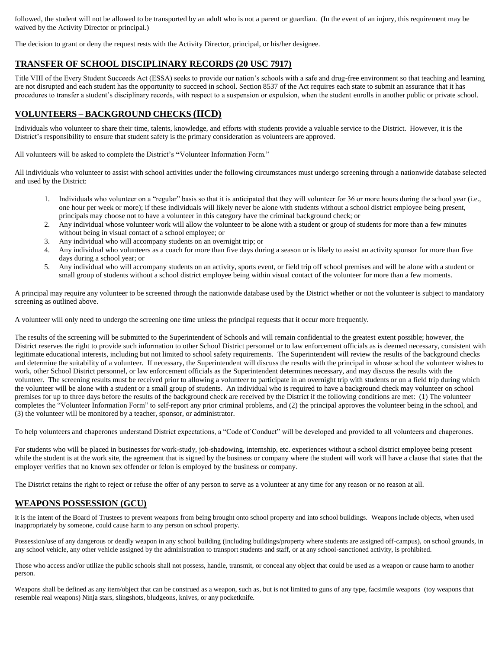followed, the student will not be allowed to be transported by an adult who is not a parent or guardian. (In the event of an injury, this requirement may be waived by the Activity Director or principal.)

The decision to grant or deny the request rests with the Activity Director, principal, or his/her designee.

## **TRANSFER OF SCHOOL DISCIPLINARY RECORDS (20 USC 7917)**

Title VIII of the Every Student Succeeds Act (ESSA) seeks to provide our nation's schools with a safe and drug-free environment so that teaching and learning are not disrupted and each student has the opportunity to succeed in school. Section 8537 of the Act requires each state to submit an assurance that it has procedures to transfer a student's disciplinary records, with respect to a suspension or expulsion, when the student enrolls in another public or private school.

## **VOLUNTEERS – BACKGROUND CHECKS (IICD)**

Individuals who volunteer to share their time, talents, knowledge, and efforts with students provide a valuable service to the District. However, it is the District's responsibility to ensure that student safety is the primary consideration as volunteers are approved.

All volunteers will be asked to complete the District's **"**Volunteer Information Form."

All individuals who volunteer to assist with school activities under the following circumstances must undergo screening through a nationwide database selected and used by the District:

- 1. Individuals who volunteer on a "regular" basis so that it is anticipated that they will volunteer for 36 or more hours during the school year (i.e., one hour per week or more); if these individuals will likely never be alone with students without a school district employee being present, principals may choose not to have a volunteer in this category have the criminal background check; or
- 2. Any individual whose volunteer work will allow the volunteer to be alone with a student or group of students for more than a few minutes without being in visual contact of a school employee; or
- 3. Any individual who will accompany students on an overnight trip; or
- 4. Any individual who volunteers as a coach for more than five days during a season or is likely to assist an activity sponsor for more than five days during a school year; or
- 5. Any individual who will accompany students on an activity, sports event, or field trip off school premises and will be alone with a student or small group of students without a school district employee being within visual contact of the volunteer for more than a few moments.

A principal may require any volunteer to be screened through the nationwide database used by the District whether or not the volunteer is subject to mandatory screening as outlined above.

A volunteer will only need to undergo the screening one time unless the principal requests that it occur more frequently.

The results of the screening will be submitted to the Superintendent of Schools and will remain confidential to the greatest extent possible; however, the District reserves the right to provide such information to other School District personnel or to law enforcement officials as is deemed necessary, consistent with legitimate educational interests, including but not limited to school safety requirements. The Superintendent will review the results of the background checks and determine the suitability of a volunteer. If necessary, the Superintendent will discuss the results with the principal in whose school the volunteer wishes to work, other School District personnel, or law enforcement officials as the Superintendent determines necessary, and may discuss the results with the volunteer. The screening results must be received prior to allowing a volunteer to participate in an overnight trip with students or on a field trip during which the volunteer will be alone with a student or a small group of students. An individual who is required to have a background check may volunteer on school premises for up to three days before the results of the background check are received by the District if the following conditions are met: (1) The volunteer completes the "Volunteer Information Form" to self-report any prior criminal problems, and (2) the principal approves the volunteer being in the school, and (3) the volunteer will be monitored by a teacher, sponsor, or administrator.

To help volunteers and chaperones understand District expectations, a "Code of Conduct" will be developed and provided to all volunteers and chaperones.

For students who will be placed in businesses for work-study, job-shadowing, internship, etc. experiences without a school district employee being present while the student is at the work site, the agreement that is signed by the business or company where the student will work will have a clause that states that the employer verifies that no known sex offender or felon is employed by the business or company.

The District retains the right to reject or refuse the offer of any person to serve as a volunteer at any time for any reason or no reason at all.

## **WEAPONS POSSESSION (GCU)**

It is the intent of the Board of Trustees to prevent weapons from being brought onto school property and into school buildings. Weapons include objects, when used inappropriately by someone, could cause harm to any person on school property.

Possession/use of any dangerous or deadly weapon in any school building (including buildings/property where students are assigned off-campus), on school grounds, in any school vehicle, any other vehicle assigned by the administration to transport students and staff, or at any school-sanctioned activity, is prohibited.

Those who access and/or utilize the public schools shall not possess, handle, transmit, or conceal any object that could be used as a weapon or cause harm to another person.

Weapons shall be defined as any item/object that can be construed as a weapon, such as, but is not limited to guns of any type, facsimile weapons (toy weapons that resemble real weapons) Ninja stars, slingshots, bludgeons, knives, or any pocketknife.